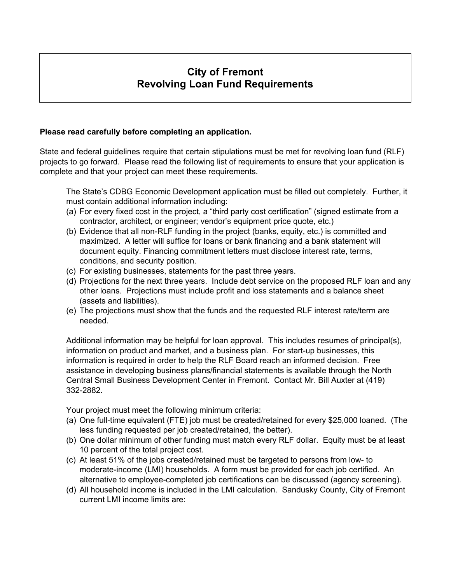## **City of Fremont Revolving Loan Fund Requirements**

## **Please read carefully before completing an application.**

State and federal guidelines require that certain stipulations must be met for revolving loan fund (RLF) projects to go forward. Please read the following list of requirements to ensure that your application is complete and that your project can meet these requirements.

The State's CDBG Economic Development application must be filled out completely. Further, it must contain additional information including:

- (a) For every fixed cost in the project, a "third party cost certification" (signed estimate from a contractor, architect, or engineer; vendor's equipment price quote, etc.)
- (b) Evidence that all non-RLF funding in the project (banks, equity, etc.) is committed and maximized. A letter will suffice for loans or bank financing and a bank statement will document equity. Financing commitment letters must disclose interest rate, terms, conditions, and security position.
- (c) For existing businesses, statements for the past three years.
- (d) Projections for the next three years. Include debt service on the proposed RLF loan and any other loans. Projections must include profit and loss statements and a balance sheet (assets and liabilities).
- (e) The projections must show that the funds and the requested RLF interest rate/term are needed.

Additional information may be helpful for loan approval. This includes resumes of principal(s), information on product and market, and a business plan. For start-up businesses, this information is required in order to help the RLF Board reach an informed decision. Free assistance in developing business plans/financial statements is available through the North Central Small Business Development Center in Fremont. Contact Mr. Bill Auxter at (419) 332-2882.

Your project must meet the following minimum criteria:

- (a) One full-time equivalent (FTE) job must be created/retained for every \$25,000 loaned. (The less funding requested per job created/retained, the better).
- (b) One dollar minimum of other funding must match every RLF dollar. Equity must be at least 10 percent of the total project cost.
- (c) At least 51% of the jobs created/retained must be targeted to persons from low- to moderate-income (LMI) households. A form must be provided for each job certified. An alternative to employee-completed job certifications can be discussed (agency screening).
- (d) All household income is included in the LMI calculation. Sandusky County, City of Fremont current LMI income limits are: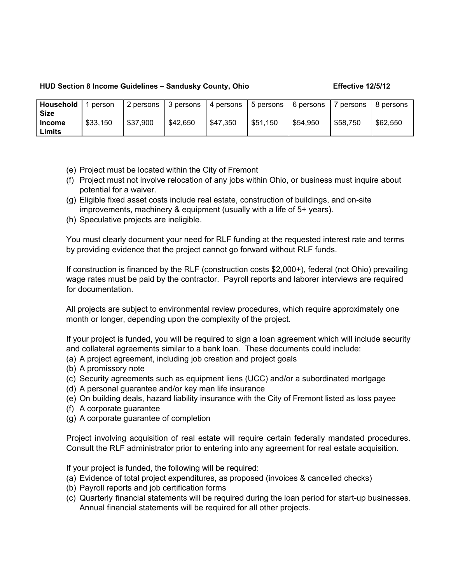## **HUD Section 8 Income Guidelines – Sandusky County, Ohio Effective 12/5/12**

| Household     | person   | 2 persons | 3 persons | l 4 persons | 5 persons | 6 persons | persons  | 8 persons |
|---------------|----------|-----------|-----------|-------------|-----------|-----------|----------|-----------|
| <b>Size</b>   |          |           |           |             |           |           |          |           |
| <b>Income</b> | \$33,150 | \$37,900  | \$42,650  | \$47,350    | \$51,150  | \$54,950  | \$58,750 | \$62,550  |
| Limits        |          |           |           |             |           |           |          |           |

- (e) Project must be located within the City of Fremont
- (f) Project must not involve relocation of any jobs within Ohio, or business must inquire about potential for a waiver.
- (g) Eligible fixed asset costs include real estate, construction of buildings, and on-site improvements, machinery & equipment (usually with a life of 5+ years).
- (h) Speculative projects are ineligible.

You must clearly document your need for RLF funding at the requested interest rate and terms by providing evidence that the project cannot go forward without RLF funds.

If construction is financed by the RLF (construction costs \$2,000+), federal (not Ohio) prevailing wage rates must be paid by the contractor. Payroll reports and laborer interviews are required for documentation.

All projects are subject to environmental review procedures, which require approximately one month or longer, depending upon the complexity of the project.

If your project is funded, you will be required to sign a loan agreement which will include security and collateral agreements similar to a bank loan. These documents could include:

- (a) A project agreement, including job creation and project goals
- (b) A promissory note
- (c) Security agreements such as equipment liens (UCC) and/or a subordinated mortgage
- (d) A personal guarantee and/or key man life insurance
- (e) On building deals, hazard liability insurance with the City of Fremont listed as loss payee
- (f) A corporate guarantee
- (g) A corporate guarantee of completion

Project involving acquisition of real estate will require certain federally mandated procedures. Consult the RLF administrator prior to entering into any agreement for real estate acquisition.

If your project is funded, the following will be required:

- (a) Evidence of total project expenditures, as proposed (invoices & cancelled checks)
- (b) Payroll reports and job certification forms
- (c) Quarterly financial statements will be required during the loan period for start-up businesses. Annual financial statements will be required for all other projects.